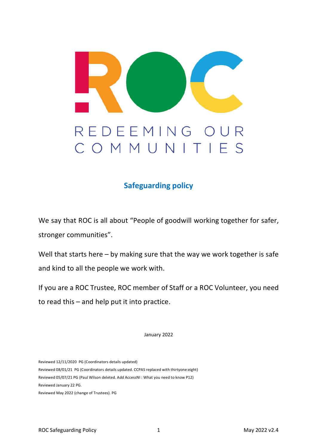

# **Safeguarding policy**

We say that ROC is all about "People of goodwill working together for safer, stronger communities".

Well that starts here – by making sure that the way we work together is safe and kind to all the people we work with.

If you are a ROC Trustee, ROC member of Staff or a ROC Volunteer, you need to read this – and help put it into practice.

January 2022

Reviewed 12/11/2020 PG (Coordinators details updated)

Reviewed 08/01/21 PG (Coordinators details updated. CCPAS replaced with thirtyone:eight) Reviewed 05/07/21 PG (Paul Wilson deleted. Add AccessNI : What you need to know P12) Reviewed January 22 PG.

Reviewed May 2022 (change of Trustees). PG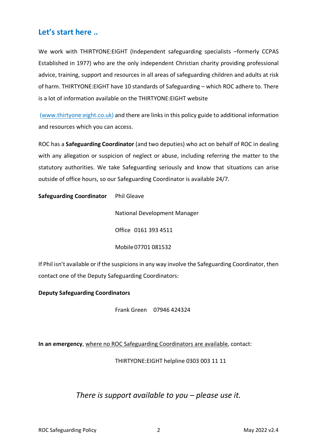## **Let's start here ..**

We work with THIRTYONE:EIGHT (Independent safeguarding specialists –formerly CCPAS Established in 1977) who are the only independent Christian charity providing professional advice, training, support and resources in all areas of safeguarding children and adults at risk of harm. THIRTYONE:EIGHT have 10 standards of Safeguarding – which ROC adhere to. There is a lot of information available on the THIRTYONE:EIGHT website

(www.thirtyone:eight.co.uk) and there are links in this policy guide to additional information and resources which you can access.

ROC has a **Safeguarding Coordinator** (and two deputies) who act on behalf of ROC in dealing with any allegation or suspicion of neglect or abuse, including referring the matter to the statutory authorities. We take Safeguarding seriously and know that situations can arise outside of office hours, so our Safeguarding Coordinator is available 24/7.

**Safeguarding Coordinator** Phil Gleave

National Development Manager

Office 0161 393 4511

Mobile07701 081532

If Phil isn't available or if the suspicions in any way involve the Safeguarding Coordinator, then contact one of the Deputy Safeguarding Coordinators:

**Deputy Safeguarding Coordinators**

Frank Green 07946 424324

**In an emergency**, where no ROC Safeguarding Coordinators are available, contact:

THIRTYONE:EIGHT helpline 0303 003 11 11

*There is support available to you – please use it.*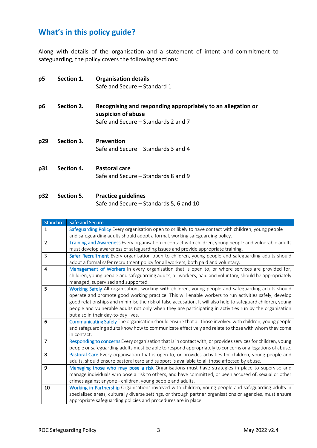# **What's in this policy guide?**

Along with details of the organisation and a statement of intent and commitment to safeguarding, the policy covers the following sections:

| p5  | Section 1. | <b>Organisation details</b><br>Safe and Secure - Standard 1                                                               |
|-----|------------|---------------------------------------------------------------------------------------------------------------------------|
| p6  | Section 2. | Recognising and responding appropriately to an allegation or<br>suspicion of abuse<br>Safe and Secure – Standards 2 and 7 |
| p29 | Section 3. | Prevention<br>Safe and Secure – Standards 3 and 4                                                                         |
| p31 | Section 4. | <b>Pastoral care</b><br>Safe and Secure – Standards 8 and 9                                                               |
| p32 | Section 5. | <b>Practice guidelines</b>                                                                                                |

Safe and Secure – Standards 5, 6 and 10

| <b>Standard</b> | <b>Safe and Secure</b>                                                                                                                                                                          |
|-----------------|-------------------------------------------------------------------------------------------------------------------------------------------------------------------------------------------------|
| $\mathbf{1}$    | Safeguarding Policy Every organisation open to or likely to have contact with children, young people                                                                                            |
|                 | and safeguarding adults should adopt a formal, working safeguarding policy.                                                                                                                     |
| $\overline{2}$  | Training and Awareness Every organisation in contact with children, young people and vulnerable adults                                                                                          |
|                 | must develop awareness of safeguarding issues and provide appropriate training.                                                                                                                 |
| 3               | Safer Recruitment Every organisation open to children, young people and safeguarding adults should                                                                                              |
|                 | adopt a formal safer recruitment policy for all workers, both paid and voluntary.                                                                                                               |
| $\overline{4}$  | Management of Workers In every organisation that is open to, or where services are provided for,                                                                                                |
|                 | children, young people and safeguarding adults, all workers, paid and voluntary, should be appropriately                                                                                        |
|                 | managed, supervised and supported.                                                                                                                                                              |
| 5               | Working Safely All organisations working with children, young people and safeguarding adults should                                                                                             |
|                 | operate and promote good working practice. This will enable workers to run activities safely, develop                                                                                           |
|                 | good relationships and minimise the risk of false accusation. It will also help to safeguard children, young                                                                                    |
|                 | people and vulnerable adults not only when they are participating in activities run by the organisation                                                                                         |
|                 | but also in their day-to-day lives.                                                                                                                                                             |
| 6               | Communicating Safely The organisation should ensure that all those involved with children, young people                                                                                         |
|                 | and safeguarding adults know how to communicate effectively and relate to those with whom they come                                                                                             |
| 7               | in contact.                                                                                                                                                                                     |
|                 | Responding to concerns Every organisation that is in contact with, or provides services for children, young                                                                                     |
| 8               | people or safeguarding adults must be able to respond appropriately to concerns or allegations of abuse.                                                                                        |
|                 | Pastoral Care Every organisation that is open to, or provides activities for children, young people and                                                                                         |
| 9               | adults, should ensure pastoral care and support is available to all those affected by abuse.<br>Managing those who may pose a risk Organisations must have strategies in place to supervise and |
|                 | manage individuals who pose a risk to others, and have committed, or been accused of, sexual or other                                                                                           |
|                 | crimes against anyone - children, young people and adults.                                                                                                                                      |
| 10              |                                                                                                                                                                                                 |
|                 | Working in Partnership Organisations involved with children, young people and safeguarding adults in                                                                                            |
|                 |                                                                                                                                                                                                 |
|                 | specialised areas, culturally diverse settings, or through partner organisations or agencies, must ensure<br>appropriate safeguarding policies and procedures are in place.                     |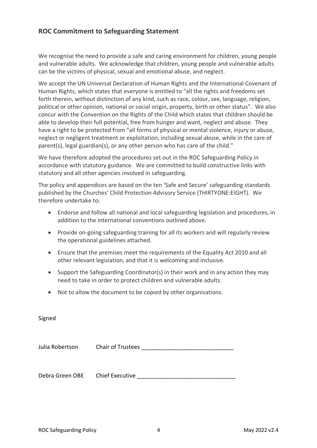## **ROC Commitment to Safeguarding Statement**

We recognise the need to provide a safe and caring environment for children, young people and vulnerable adults. We acknowledge that children, young people and vulnerable adults can be the victims of physical, sexual and emotional abuse, and neglect.

We accept the UN Universal Declaration of Human Rights and the International Covenant of Human Rights, which states that everyone is entitled to "all the rights and freedoms set forth therein, without distinction of any kind, such as race, colour, sex, language, religion, political or other opinion, national or social origin, property, birth or other status". We also concur with the Convention on the Rights of the Child which states that children should be able to develop their full potential, free from hunger and want, neglect and abuse. They have a right to be protected from "all forms of physical or mental violence, injury or abuse, neglect or negligent treatment or exploitation, including sexual abuse, while in the care of parent(s), legal guardian(s), or any other person who has care of the child."

We have therefore adopted the procedures set out in the ROC Safeguarding Policy in accordance with statutory guidance. We are committed to build constructive links with statutory and all other agencies involved in safeguarding.

The policy and appendices are based on the ten 'Safe and Secure' safeguarding standards published by the Churches' Child Protection Advisory Service (THIRTYONE:EIGHT). We therefore undertake to:

- Endorse and follow all national and local safeguarding legislation and procedures, in addition to the international conventions outlined above.
- Provide on-going safeguarding training for all its workers and will regularly review the operational guidelines attached.
- Ensure that the premises meet the requirements of the Equality Act 2010 and all other relevant legislation, and that it is welcoming and inclusive.
- Support the Safeguarding Coordinator(s) in their work and in any action they may need to take in order to protect children and vulnerable adults.
- Not to allow the document to be copied by other organisations.

| Julia Robertson                 | <b>Chair of Trustees</b> |
|---------------------------------|--------------------------|
| Debra Green OBE Chief Executive |                          |

Signed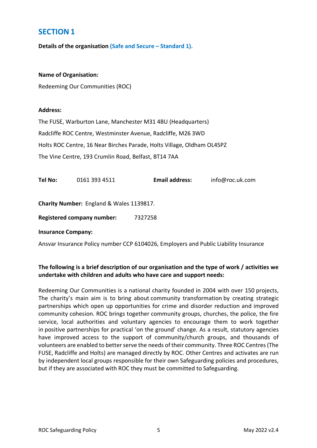## **SECTION 1**

**Details of the organisation (Safe and Secure – Standard 1).**

#### **Name of Organisation:**

Redeeming Our Communities (ROC)

#### **Address:**

The FUSE, Warburton Lane, Manchester M31 4BU (Headquarters) Radcliffe ROC Centre, Westminster Avenue, Radcliffe, M26 3WD Holts ROC Centre, 16 Near Birches Parade, Holts Village, Oldham OL45PZ The Vine Centre, 193 Crumlin Road, Belfast, BT14 7AA

| Tel No:                                             | 0161 393 4511 | <b>Email address:</b> | info@roc.uk.com |  |  |  |
|-----------------------------------------------------|---------------|-----------------------|-----------------|--|--|--|
|                                                     |               |                       |                 |  |  |  |
| <b>Charity Number: England &amp; Wales 1139817.</b> |               |                       |                 |  |  |  |
| <b>Registered company number:</b>                   |               | 7327258               |                 |  |  |  |
| <b>Insurance Company:</b>                           |               |                       |                 |  |  |  |

Ansvar Insurance Policy number CCP 6104026, Employers and Public Liability Insurance

## **The following is a brief description of our organisation and the type of work / activities we undertake with children and adults who have care and support needs:**

Redeeming Our Communities is a national charity founded in 2004 with over 150 projects, The charity's main aim is to bring about community transformation by creating strategic partnerships which open up opportunities for crime and disorder reduction and improved community cohesion. ROC brings together community groups, churches, the police, the fire service, local authorities and voluntary agencies to encourage them to work together in positive partnerships for practical 'on the ground' change. As a result, statutory agencies have improved access to the support of community/church groups, and thousands of volunteers are enabled to better serve the needs of their community. Three ROC Centres (The FUSE, Radcliffe and Holts) are managed directly by ROC. Other Centres and activates are run by independent local groups responsible for their own Safeguarding policies and procedures, but if they are associated with ROC they must be committed to Safeguarding.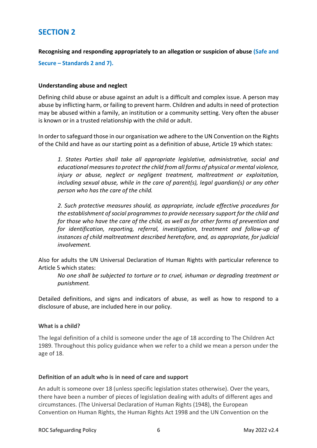## **SECTION 2**

## **Recognising and responding appropriately to an allegation or suspicion of abuse (Safe and**

**Secure – Standards 2 and 7).**

#### **Understanding abuse and neglect**

Defining child abuse or abuse against an adult is a difficult and complex issue. A person may abuse by inflicting harm, or failing to prevent harm. Children and adults in need of protection may be abused within a family, an institution or a community setting. Very often the abuser is known or in a trusted relationship with the child or adult.

In order to safeguard those in our organisation we adhere to the UN Convention on the Rights of the Child and have as our starting point as a definition of abuse, Article 19 which states:

*1. States Parties shall take all appropriate legislative, administrative, social and educational measures to protect the child from all forms of physical or mental violence, injury or abuse, neglect or negligent treatment, maltreatment or exploitation, including sexual abuse, while in the care of parent(s), legal guardian(s) or any other person who has the care of the child.* 

*2. Such protective measures should, as appropriate, include effective procedures for the establishment of social programmes to provide necessary support for the child and for those who have the care of the child, as well as for other forms of prevention and for identification, reporting, referral, investigation, treatment and follow-up of instances of child maltreatment described heretofore, and, as appropriate, for judicial involvement.* 

Also for adults the UN Universal Declaration of Human Rights with particular reference to Article 5 which states:

*No one shall be subjected to torture or to cruel, inhuman or degrading treatment or punishment.*

Detailed definitions, and signs and indicators of abuse, as well as how to respond to a disclosure of abuse, are included here in our policy.

#### **What is a child?**

The legal definition of a child is someone under the age of 18 according to The Children Act 1989. Throughout this policy guidance when we refer to a child we mean a person under the age of 18.

#### **Definition of an adult who is in need of care and support**

An adult is someone over 18 (unless specific legislation states otherwise). Over the years, there have been a number of pieces of legislation dealing with adults of different ages and circumstances. (The Universal Declaration of Human Rights (1948), the European Convention on Human Rights, the Human Rights Act 1998 and the UN Convention on the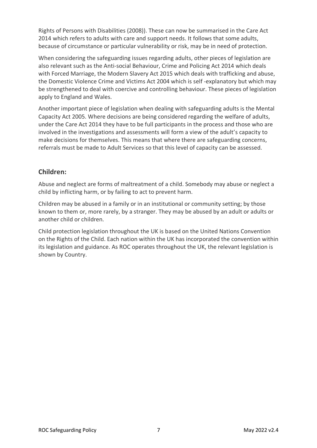Rights of Persons with Disabilities (2008)). These can now be summarised in the Care Act 2014 which refers to adults with care and support needs. It follows that some adults, because of circumstance or particular vulnerability or risk, may be in need of protection.

When considering the safeguarding issues regarding adults, other pieces of legislation are also relevant such as the Anti-social Behaviour, Crime and Policing Act 2014 which deals with Forced Marriage, the Modern Slavery Act 2015 which deals with trafficking and abuse, the Domestic Violence Crime and Victims Act 2004 which is self -explanatory but which may be strengthened to deal with coercive and controlling behaviour. These pieces of legislation apply to England and Wales.

Another important piece of legislation when dealing with safeguarding adults is the Mental Capacity Act 2005. Where decisions are being considered regarding the welfare of adults, under the Care Act 2014 they have to be full participants in the process and those who are involved in the investigations and assessments will form a view of the adult's capacity to make decisions for themselves. This means that where there are safeguarding concerns, referrals must be made to Adult Services so that this level of capacity can be assessed.

## **Children:**

Abuse and neglect are forms of maltreatment of a child. Somebody may abuse or neglect a child by inflicting harm, or by failing to act to prevent harm.

Children may be abused in a family or in an institutional or community setting; by those known to them or, more rarely, by a stranger. They may be abused by an adult or adults or another child or children.

Child protection legislation throughout the UK is based on the United Nations Convention on the Rights of the Child. Each nation within the UK has incorporated the convention within its legislation and guidance. As ROC operates throughout the UK, the relevant legislation is shown by Country.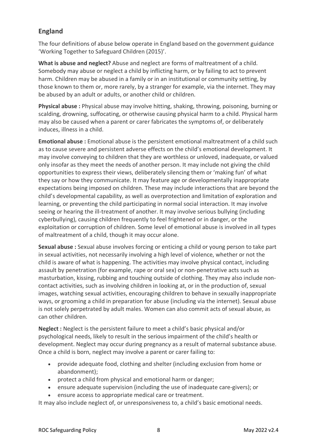## **England**

The four definitions of abuse below operate in England based on the government guidance 'Working Together to Safeguard Children (2015)'.

**What is abuse and neglect?** Abuse and neglect are forms of maltreatment of a child. Somebody may abuse or neglect a child by inflicting harm, or by failing to act to prevent harm. Children may be abused in a family or in an institutional or community setting, by those known to them or, more rarely, by a stranger for example, via the internet. They may be abused by an adult or adults, or another child or children.

**Physical abuse :** Physical abuse may involve hitting, shaking, throwing, poisoning, burning or scalding, drowning, suffocating, or otherwise causing physical harm to a child. Physical harm may also be caused when a parent or carer fabricates the symptoms of, or deliberately induces, illness in a child.

**Emotional abuse :** Emotional abuse is the persistent emotional maltreatment of a child such as to cause severe and persistent adverse effects on the child's emotional development. It may involve conveying to children that they are worthless or unloved, inadequate, or valued only insofar as they meet the needs of another person. It may include not giving the child opportunities to express their views, deliberately silencing them or 'making fun' of what they say or how they communicate. It may feature age or developmentally inappropriate expectations being imposed on children. These may include interactions that are beyond the child's developmental capability, as well as overprotection and limitation of exploration and learning, or preventing the child participating in normal social interaction. It may involve seeing or hearing the ill-treatment of another. It may involve serious bullying (including cyberbullying), causing children frequently to feel frightened or in danger, or the exploitation or corruption of children. Some level of emotional abuse is involved in all types of maltreatment of a child, though it may occur alone.

**Sexual abuse :** Sexual abuse involves forcing or enticing a child or young person to take part in sexual activities, not necessarily involving a high level of violence, whether or not the child is aware of what is happening. The activities may involve physical contact, including assault by penetration (for example, rape or oral sex) or non-penetrative acts such as masturbation, kissing, rubbing and touching outside of clothing. They may also include noncontact activities, such as involving children in looking at, or in the production of, sexual images, watching sexual activities, encouraging children to behave in sexually inappropriate ways, or grooming a child in preparation for abuse (including via the internet). Sexual abuse is not solely perpetrated by adult males. Women can also commit acts of sexual abuse, as can other children.

**Neglect :** Neglect is the persistent failure to meet a child's basic physical and/or psychological needs, likely to result in the serious impairment of the child's health or development. Neglect may occur during pregnancy as a result of maternal substance abuse. Once a child is born, neglect may involve a parent or carer failing to:

- provide adequate food, clothing and shelter (including exclusion from home or abandonment);
- protect a child from physical and emotional harm or danger;
- ensure adequate supervision (including the use of inadequate care-givers); or
- ensure access to appropriate medical care or treatment.

It may also include neglect of, or unresponsiveness to, a child's basic emotional needs.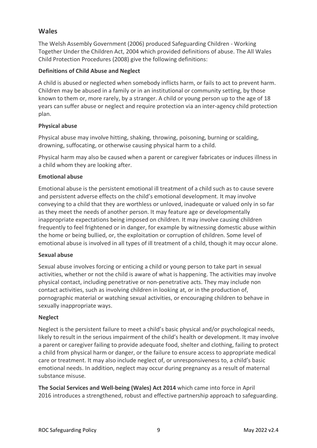## **Wales**

The Welsh Assembly Government (2006) produced Safeguarding Children - Working Together Under the Children Act, 2004 which provided definitions of abuse. The All Wales Child Protection Procedures (2008) give the following definitions:

## **Definitions of Child Abuse and Neglect**

A child is abused or neglected when somebody inflicts harm, or fails to act to prevent harm. Children may be abused in a family or in an institutional or community setting, by those known to them or, more rarely, by a stranger. A child or young person up to the age of 18 years can suffer abuse or neglect and require protection via an inter-agency child protection plan.

## **Physical abuse**

Physical abuse may involve hitting, shaking, throwing, poisoning, burning or scalding, drowning, suffocating, or otherwise causing physical harm to a child.

Physical harm may also be caused when a parent or caregiver fabricates or induces illness in a child whom they are looking after.

## **Emotional abuse**

Emotional abuse is the persistent emotional ill treatment of a child such as to cause severe and persistent adverse effects on the child's emotional development. It may involve conveying to a child that they are worthless or unloved, inadequate or valued only in so far as they meet the needs of another person. It may feature age or developmentally inappropriate expectations being imposed on children. It may involve causing children frequently to feel frightened or in danger, for example by witnessing domestic abuse within the home or being bullied, or, the exploitation or corruption of children. Some level of emotional abuse is involved in all types of ill treatment of a child, though it may occur alone.

## **Sexual abuse**

Sexual abuse involves forcing or enticing a child or young person to take part in sexual activities, whether or not the child is aware of what is happening. The activities may involve physical contact, including penetrative or non-penetrative acts. They may include non contact activities, such as involving children in looking at, or in the production of, pornographic material or watching sexual activities, or encouraging children to behave in sexually inappropriate ways.

## **Neglect**

Neglect is the persistent failure to meet a child's basic physical and/or psychological needs, likely to result in the serious impairment of the child's health or development. It may involve a parent or caregiver failing to provide adequate food, shelter and clothing, failing to protect a child from physical harm or danger, or the failure to ensure access to appropriate medical care or treatment. It may also include neglect of, or unresponsiveness to, a child's basic emotional needs. In addition, neglect may occur during pregnancy as a result of maternal substance misuse.

**The Social Services and Well-being (Wales) Act 2014** which came into force in April 2016 introduces a strengthened, robust and effective partnership approach to safeguarding.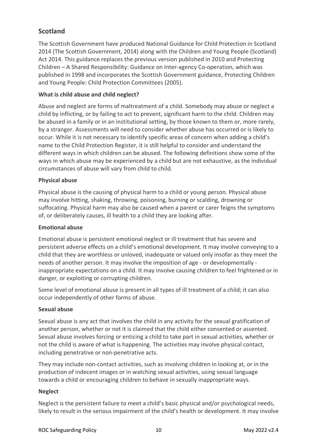## **Scotland**

The Scottish Government have produced National Guidance for Child Protection in Scotland 2014 (The Scottish Government, 2014) along with the Children and Young People (Scotland) Act 2014. This guidance replaces the previous version published in 2010 and Protecting Children – A Shared Responsibility: Guidance on Inter-agency Co-operation, which was published in 1998 and incorporates the Scottish Government guidance, Protecting Children and Young People: Child Protection Committees (2005).

## **What is child abuse and child neglect?**

Abuse and neglect are forms of maltreatment of a child. Somebody may abuse or neglect a child by inflicting, or by failing to act to prevent, significant harm to the child. Children may be abused in a family or in an institutional setting, by those known to them or, more rarely, by a stranger. Assessments will need to consider whether abuse has occurred or is likely to occur. While it is not necessary to identify specific areas of concern when adding a child's name to the Child Protection Register, it is still helpful to consider and understand the different ways in which children can be abused. The following definitions show some of the ways in which abuse may be experienced by a child but are not exhaustive, as the individual circumstances of abuse will vary from child to child.

### **Physical abuse**

Physical abuse is the causing of physical harm to a child or young person. Physical abuse may involve hitting, shaking, throwing, poisoning, burning or scalding, drowning or suffocating. Physical harm may also be caused when a parent or carer feigns the symptoms of, or deliberately causes, ill health to a child they are looking after.

### **Emotional abuse**

Emotional abuse is persistent emotional neglect or ill treatment that has severe and persistent adverse effects on a child's emotional development. It may involve conveying to a child that they are worthless or unloved, inadequate or valued only insofar as they meet the needs of another person. It may involve the imposition of age - or developmentally inappropriate expectations on a child. It may involve causing children to feel frightened or in danger, or exploiting or corrupting children.

Some level of emotional abuse is present in all types of ill treatment of a child; it can also occur independently of other forms of abuse.

#### **Sexual abuse**

Sexual abuse is any act that involves the child in any activity for the sexual gratification of another person, whether or not it is claimed that the child either consented or assented. Sexual abuse involves forcing or enticing a child to take part in sexual activities, whether or not the child is aware of what is happening. The activities may involve physical contact, including penetrative or non-penetrative acts.

They may include non-contact activities, such as involving children in looking at, or in the production of indecent images or in watching sexual activities, using sexual language towards a child or encouraging children to behave in sexually inappropriate ways.

#### **Neglect**

Neglect is the persistent failure to meet a child's basic physical and/or psychological needs, likely to result in the serious impairment of the child's health or development. It may involve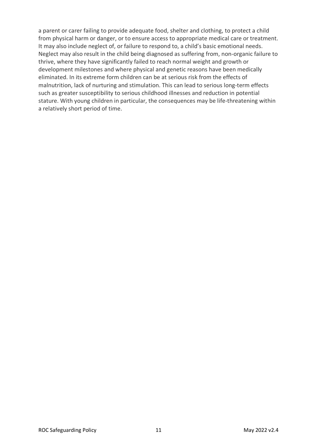a parent or carer failing to provide adequate food, shelter and clothing, to protect a child from physical harm or danger, or to ensure access to appropriate medical care or treatment. It may also include neglect of, or failure to respond to, a child's basic emotional needs. Neglect may also result in the child being diagnosed as suffering from, non-organic failure to thrive, where they have significantly failed to reach normal weight and growth or development milestones and where physical and genetic reasons have been medically eliminated. In its extreme form children can be at serious risk from the effects of malnutrition, lack of nurturing and stimulation. This can lead to serious long-term effects such as greater susceptibility to serious childhood illnesses and reduction in potential stature. With young children in particular, the consequences may be life-threatening within a relatively short period of time.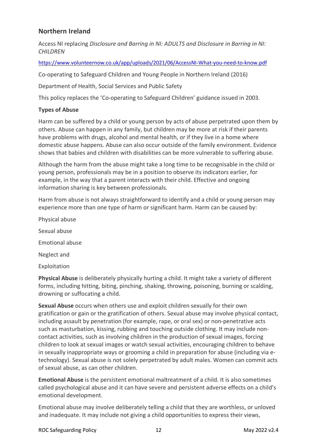## **Northern Ireland**

Access NI replacing *Disclosure and Barring in NI: ADULTS and Disclosure in Barring in NI: CHILDREN* 

https://www.volunteernow.co.uk/app/uploads/2021/06/AccessNI-What-you-need-to-know.pdf

Co-operating to Safeguard Children and Young People in Northern Ireland (2016)

Department of Health, Social Services and Public Safety

This policy replaces the 'Co-operating to Safeguard Children' guidance issued in 2003.

### **Types of Abuse**

Harm can be suffered by a child or young person by acts of abuse perpetrated upon them by others. Abuse can happen in any family, but children may be more at risk if their parents have problems with drugs, alcohol and mental health, or if they live in a home where domestic abuse happens. Abuse can also occur outside of the family environment. Evidence shows that babies and children with disabilities can be more vulnerable to suffering abuse.

Although the harm from the abuse might take a long time to be recognisable in the child or young person, professionals may be in a position to observe its indicators earlier, for example, in the way that a parent interacts with their child. Effective and ongoing information sharing is key between professionals.

Harm from abuse is not always straightforward to identify and a child or young person may experience more than one type of harm or significant harm. Harm can be caused by:

Physical abuse Sexual abuse Emotional abuse Neglect and Exploitation

**Physical Abuse** is deliberately physically hurting a child. It might take a variety of different forms, including hitting, biting, pinching, shaking, throwing, poisoning, burning or scalding, drowning or suffocating a child.

**Sexual Abuse** occurs when others use and exploit children sexually for their own gratification or gain or the gratification of others. Sexual abuse may involve physical contact, including assault by penetration (for example, rape, or oral sex) or non-penetrative acts such as masturbation, kissing, rubbing and touching outside clothing. It may include noncontact activities, such as involving children in the production of sexual images, forcing children to look at sexual images or watch sexual activities, encouraging children to behave in sexually inappropriate ways or grooming a child in preparation for abuse (including via etechnology). Sexual abuse is not solely perpetrated by adult males. Women can commit acts of sexual abuse, as can other children.

**Emotional Abuse** is the persistent emotional maltreatment of a child. It is also sometimes called psychological abuse and it can have severe and persistent adverse effects on a child's emotional development.

Emotional abuse may involve deliberately telling a child that they are worthless, or unloved and inadequate. It may include not giving a child opportunities to express their views,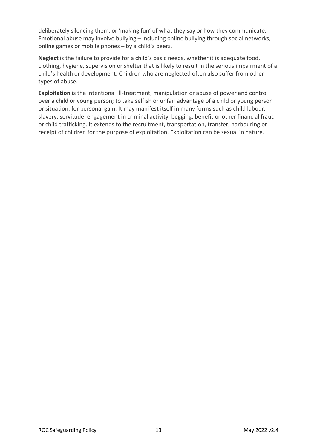deliberately silencing them, or 'making fun' of what they say or how they communicate. Emotional abuse may involve bullying – including online bullying through social networks, online games or mobile phones – by a child's peers.

**Neglect** is the failure to provide for a child's basic needs, whether it is adequate food, clothing, hygiene, supervision or shelter that is likely to result in the serious impairment of a child's health or development. Children who are neglected often also suffer from other types of abuse.

**Exploitation** is the intentional ill-treatment, manipulation or abuse of power and control over a child or young person; to take selfish or unfair advantage of a child or young person or situation, for personal gain. It may manifest itself in many forms such as child labour, slavery, servitude, engagement in criminal activity, begging, benefit or other financial fraud or child trafficking. It extends to the recruitment, transportation, transfer, harbouring or receipt of children for the purpose of exploitation. Exploitation can be sexual in nature.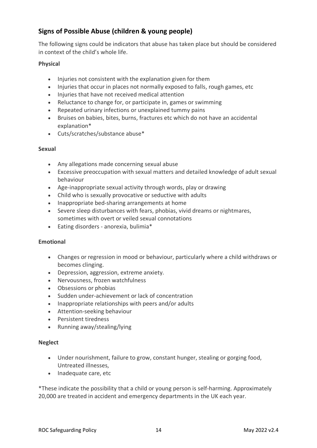## **Signs of Possible Abuse (children & young people)**

The following signs could be indicators that abuse has taken place but should be considered in context of the child's whole life.

## **Physical**

- Injuries not consistent with the explanation given for them
- Injuries that occur in places not normally exposed to falls, rough games, etc
- Injuries that have not received medical attention
- Reluctance to change for, or participate in, games or swimming
- Repeated urinary infections or unexplained tummy pains
- Bruises on babies, bites, burns, fractures etc which do not have an accidental explanation\*
- Cuts/scratches/substance abuse\*

### **Sexual**

- Any allegations made concerning sexual abuse
- Excessive preoccupation with sexual matters and detailed knowledge of adult sexual behaviour
- Age-inappropriate sexual activity through words, play or drawing
- Child who is sexually provocative or seductive with adults
- Inappropriate bed-sharing arrangements at home
- Severe sleep disturbances with fears, phobias, vivid dreams or nightmares, sometimes with overt or veiled sexual connotations
- Eating disorders anorexia, bulimia\*

## **Emotional**

- Changes or regression in mood or behaviour, particularly where a child withdraws or becomes clinging.
- Depression, aggression, extreme anxiety.
- Nervousness, frozen watchfulness
- Obsessions or phobias
- Sudden under-achievement or lack of concentration
- Inappropriate relationships with peers and/or adults
- Attention-seeking behaviour
- Persistent tiredness
- Running away/stealing/lying

## **Neglect**

- Under nourishment, failure to grow, constant hunger, stealing or gorging food, Untreated illnesses,
- Inadequate care, etc

\*These indicate the possibility that a child or young person is self-harming. Approximately 20,000 are treated in accident and emergency departments in the UK each year.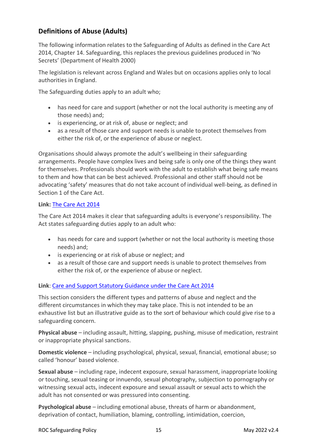## **Definitions of Abuse (Adults)**

The following information relates to the Safeguarding of Adults as defined in the Care Act 2014, Chapter 14. Safeguarding, this replaces the previous guidelines produced in 'No Secrets' (Department of Health 2000)

The legislation is relevant across England and Wales but on occasions applies only to local authorities in England.

The Safeguarding duties apply to an adult who;

- has need for care and support (whether or not the local authority is meeting any of those needs) and;
- is experiencing, or at risk of, abuse or neglect; and
- as a result of those care and support needs is unable to protect themselves from either the risk of, or the experience of abuse or neglect.

Organisations should always promote the adult's wellbeing in their safeguarding arrangements. People have complex lives and being safe is only one of the things they want for themselves. Professionals should work with the adult to establish what being safe means to them and how that can be best achieved. Professional and other staff should not be advocating 'safety' measures that do not take account of individual well-being, as defined in Section 1 of the Care Act.

## **Link:** The Care Act 2014

The Care Act 2014 makes it clear that safeguarding adults is everyone's responsibility. The Act states safeguarding duties apply to an adult who:

- has needs for care and support (whether or not the local authority is meeting those needs) and;
- is experiencing or at risk of abuse or neglect; and
- as a result of those care and support needs is unable to protect themselves from either the risk of, or the experience of abuse or neglect.

## **Link**: Care and Support Statutory Guidance under the Care Act 2014

This section considers the different types and patterns of abuse and neglect and the different circumstances in which they may take place. This is not intended to be an exhaustive list but an illustrative guide as to the sort of behaviour which could give rise to a safeguarding concern.

**Physical abuse** – including assault, hitting, slapping, pushing, misuse of medication, restraint or inappropriate physical sanctions.

**Domestic violence** – including psychological, physical, sexual, financial, emotional abuse; so called 'honour' based violence.

**Sexual abuse** – including rape, indecent exposure, sexual harassment, inappropriate looking or touching, sexual teasing or innuendo, sexual photography, subjection to pornography or witnessing sexual acts, indecent exposure and sexual assault or sexual acts to which the adult has not consented or was pressured into consenting.

**Psychological abuse** – including emotional abuse, threats of harm or abandonment, deprivation of contact, humiliation, blaming, controlling, intimidation, coercion,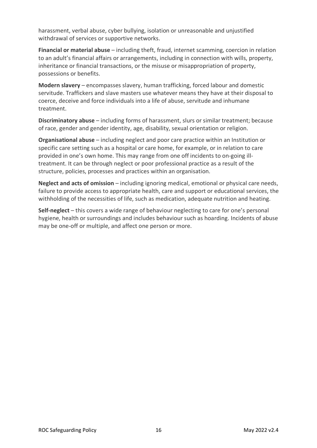harassment, verbal abuse, cyber bullying, isolation or unreasonable and unjustified withdrawal of services or supportive networks.

**Financial or material abuse** – including theft, fraud, internet scamming, coercion in relation to an adult's financial affairs or arrangements, including in connection with wills, property, inheritance or financial transactions, or the misuse or misappropriation of property, possessions or benefits.

**Modern slavery** – encompasses slavery, human trafficking, forced labour and domestic servitude. Traffickers and slave masters use whatever means they have at their disposal to coerce, deceive and force individuals into a life of abuse, servitude and inhumane treatment.

**Discriminatory abuse** – including forms of harassment, slurs or similar treatment; because of race, gender and gender identity, age, disability, sexual orientation or religion.

**Organisational abuse** – including neglect and poor care practice within an Institution or specific care setting such as a hospital or care home, for example, or in relation to care provided in one's own home. This may range from one off incidents to on-going illtreatment. It can be through neglect or poor professional practice as a result of the structure, policies, processes and practices within an organisation.

**Neglect and acts of omission** – including ignoring medical, emotional or physical care needs, failure to provide access to appropriate health, care and support or educational services, the withholding of the necessities of life, such as medication, adequate nutrition and heating.

**Self-neglect** – this covers a wide range of behaviour neglecting to care for one's personal hygiene, health or surroundings and includes behaviour such as hoarding. Incidents of abuse may be one-off or multiple, and affect one person or more.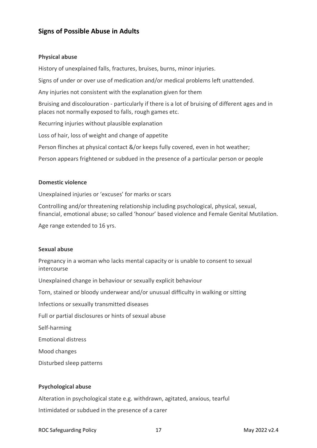## **Signs of Possible Abuse in Adults**

#### **Physical abuse**

History of unexplained falls, fractures, bruises, burns, minor injuries.

Signs of under or over use of medication and/or medical problems left unattended.

Any injuries not consistent with the explanation given for them

Bruising and discolouration - particularly if there is a lot of bruising of different ages and in places not normally exposed to falls, rough games etc.

Recurring injuries without plausible explanation

Loss of hair, loss of weight and change of appetite

Person flinches at physical contact &/or keeps fully covered, even in hot weather;

Person appears frightened or subdued in the presence of a particular person or people

#### **Domestic violence**

Unexplained injuries or 'excuses' for marks or scars

Controlling and/or threatening relationship including psychological, physical, sexual, financial, emotional abuse; so called 'honour' based violence and Female Genital Mutilation.

Age range extended to 16 yrs.

#### **Sexual abuse**

Pregnancy in a woman who lacks mental capacity or is unable to consent to sexual intercourse

Unexplained change in behaviour or sexually explicit behaviour

Torn, stained or bloody underwear and/or unusual difficulty in walking or sitting

Infections or sexually transmitted diseases

Full or partial disclosures or hints of sexual abuse

Self-harming

Emotional distress

Mood changes

Disturbed sleep patterns

#### **Psychological abuse**

Alteration in psychological state e.g. withdrawn, agitated, anxious, tearful Intimidated or subdued in the presence of a carer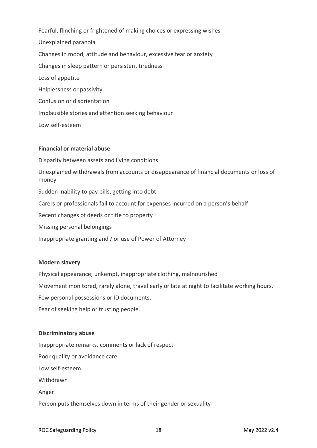Fearful, flinching or frightened of making choices or expressing wishes Unexplained paranoia Changes in mood, attitude and behaviour, excessive fear or anxiety Changes in sleep pattern or persistent tiredness Loss of appetite Helplessness or passivity Confusion or disorientation Implausible stories and attention seeking behaviour Low self-esteem

### **Financial or material abuse**

Disparity between assets and living conditions Unexplained withdrawals from accounts or disappearance of financial documents or loss of money Sudden inability to pay bills, getting into debt Carers or professionals fail to account for expenses incurred on a person's behalf Recent changes of deeds or title to property Missing personal belongings Inappropriate granting and / or use of Power of Attorney

#### **Modern slavery**

Physical appearance; unkempt, inappropriate clothing, malnourished Movement monitored, rarely alone, travel early or late at night to facilitate working hours. Few personal possessions or ID documents. Fear of seeking help or trusting people.

#### **Discriminatory abuse**

Inappropriate remarks, comments or lack of respect Poor quality or avoidance care Low self-esteem Withdrawn Anger Person puts themselves down in terms of their gender or sexuality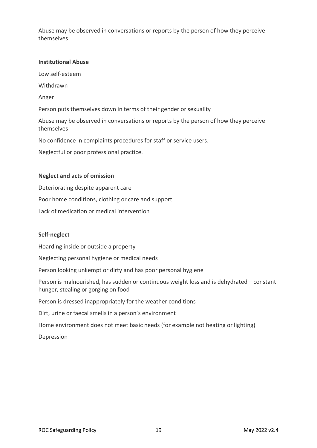Abuse may be observed in conversations or reports by the person of how they perceive themselves

### **Institutional Abuse**

Low self-esteem

Withdrawn

Anger

Person puts themselves down in terms of their gender or sexuality

Abuse may be observed in conversations or reports by the person of how they perceive themselves

No confidence in complaints procedures for staff or service users.

Neglectful or poor professional practice.

### **Neglect and acts of omission**

Deteriorating despite apparent care

Poor home conditions, clothing or care and support.

Lack of medication or medical intervention

#### **Self-neglect**

Hoarding inside or outside a property

Neglecting personal hygiene or medical needs

Person looking unkempt or dirty and has poor personal hygiene

Person is malnourished, has sudden or continuous weight loss and is dehydrated – constant hunger, stealing or gorging on food

Person is dressed inappropriately for the weather conditions

Dirt, urine or faecal smells in a person's environment

Home environment does not meet basic needs (for example not heating or lighting)

Depression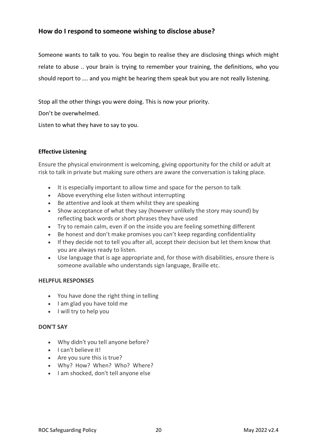## **How do I respond to someone wishing to disclose abuse?**

Someone wants to talk to you. You begin to realise they are disclosing things which might relate to abuse .. your brain is trying to remember your training, the definitions, who you should report to …. and you might be hearing them speak but you are not really listening.

Stop all the other things you were doing. This is now your priority.

Don't be overwhelmed.

Listen to what they have to say to you.

## **Effective Listening**

Ensure the physical environment is welcoming, giving opportunity for the child or adult at risk to talk in private but making sure others are aware the conversation is taking place.

- It is especially important to allow time and space for the person to talk
- Above everything else listen without interrupting
- Be attentive and look at them whilst they are speaking
- Show acceptance of what they say (however unlikely the story may sound) by reflecting back words or short phrases they have used
- Try to remain calm, even if on the inside you are feeling something different
- Be honest and don't make promises you can't keep regarding confidentiality
- If they decide not to tell you after all, accept their decision but let them know that you are always ready to listen.
- Use language that is age appropriate and, for those with disabilities, ensure there is someone available who understands sign language, Braille etc.

#### **HELPFUL RESPONSES**

- You have done the right thing in telling
- I am glad you have told me
- I will try to help you

#### **DON'T SAY**

- Why didn't you tell anyone before?
- I can't believe it!
- Are you sure this is true?
- Why? How? When? Who? Where?
- I am shocked, don't tell anyone else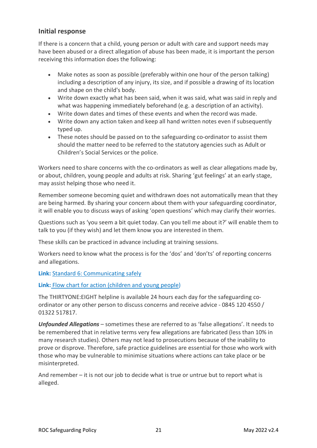## **Initial response**

If there is a concern that a child, young person or adult with care and support needs may have been abused or a direct allegation of abuse has been made, it is important the person receiving this information does the following:

- Make notes as soon as possible (preferably within one hour of the person talking) including a description of any injury, its size, and if possible a drawing of its location and shape on the child's body.
- Write down exactly what has been said, when it was said, what was said in reply and what was happening immediately beforehand (e.g. a description of an activity).
- Write down dates and times of these events and when the record was made.
- Write down any action taken and keep all hand written notes even if subsequently typed up.
- These notes should be passed on to the safeguarding co-ordinator to assist them should the matter need to be referred to the statutory agencies such as Adult or Children's Social Services or the police.

Workers need to share concerns with the co-ordinators as well as clear allegations made by, or about, children, young people and adults at risk. Sharing 'gut feelings' at an early stage, may assist helping those who need it.

Remember someone becoming quiet and withdrawn does not automatically mean that they are being harmed. By sharing your concern about them with your safeguarding coordinator, it will enable you to discuss ways of asking 'open questions' which may clarify their worries.

Questions such as 'you seem a bit quiet today. Can you tell me about it?' will enable them to talk to you (if they wish) and let them know you are interested in them.

These skills can be practiced in advance including at training sessions.

Workers need to know what the process is for the 'dos' and 'don'ts' of reporting concerns and allegations.

## **Link:** Standard 6: Communicating safely

**Link:** Flow chart for action (children and young people)

The THIRTYONE:EIGHT helpline is available 24 hours each day for the safeguarding coordinator or any other person to discuss concerns and receive advice - 0845 120 4550 / 01322 517817.

*Unfounded Allegations* – sometimes these are referred to as 'false allegations'. It needs to be remembered that in relative terms very few allegations are fabricated (less than 10% in many research studies). Others may not lead to prosecutions because of the inability to prove or disprove. Therefore, safe practice guidelines are essential for those who work with those who may be vulnerable to minimise situations where actions can take place or be misinterpreted.

And remember – it is not our job to decide what is true or untrue but to report what is alleged.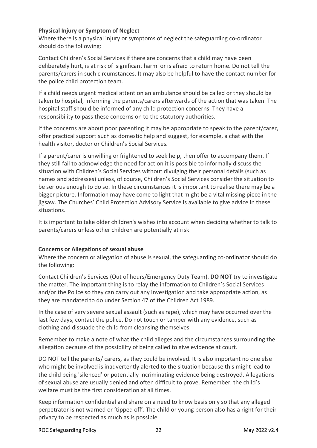## **Physical Injury or Symptom of Neglect**

Where there is a physical injury or symptoms of neglect the safeguarding co-ordinator should do the following:

Contact Children's Social Services if there are concerns that a child may have been deliberately hurt, is at risk of 'significant harm' or is afraid to return home. Do not tell the parents/carers in such circumstances. It may also be helpful to have the contact number for the police child protection team.

If a child needs urgent medical attention an ambulance should be called or they should be taken to hospital, informing the parents/carers afterwards of the action that was taken. The hospital staff should be informed of any child protection concerns. They have a responsibility to pass these concerns on to the statutory authorities.

If the concerns are about poor parenting it may be appropriate to speak to the parent/carer, offer practical support such as domestic help and suggest, for example, a chat with the health visitor, doctor or Children's Social Services.

If a parent/carer is unwilling or frightened to seek help, then offer to accompany them. If they still fail to acknowledge the need for action it is possible to informally discuss the situation with Children's Social Services without divulging their personal details (such as names and addresses) unless, of course, Children's Social Services consider the situation to be serious enough to do so. In these circumstances it is important to realise there may be a bigger picture. Information may have come to light that might be a vital missing piece in the jigsaw. The Churches' Child Protection Advisory Service is available to give advice in these situations.

It is important to take older children's wishes into account when deciding whether to talk to parents/carers unless other children are potentially at risk.

## **Concerns or Allegations of sexual abuse**

Where the concern or allegation of abuse is sexual, the safeguarding co-ordinator should do the following:

Contact Children's Services (Out of hours/Emergency Duty Team). **DO NOT** try to investigate the matter. The important thing is to relay the information to Children's Social Services and/or the Police so they can carry out any investigation and take appropriate action, as they are mandated to do under Section 47 of the Children Act 1989.

In the case of very severe sexual assault (such as rape), which may have occurred over the last few days, contact the police. Do not touch or tamper with any evidence, such as clothing and dissuade the child from cleansing themselves.

Remember to make a note of what the child alleges and the circumstances surrounding the allegation because of the possibility of being called to give evidence at court.

DO NOT tell the parents/ carers, as they could be involved. It is also important no one else who might be involved is inadvertently alerted to the situation because this might lead to the child being 'silenced' or potentially incriminating evidence being destroyed. Allegations of sexual abuse are usually denied and often difficult to prove. Remember, the child's welfare must be the first consideration at all times.

Keep information confidential and share on a need to know basis only so that any alleged perpetrator is not warned or 'tipped off'. The child or young person also has a right for their privacy to be respected as much as is possible.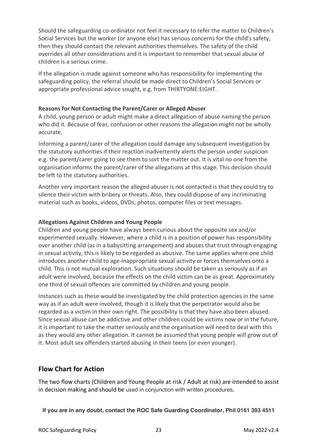Should the safeguarding co-ordinator not feel it necessary to refer the matter to Children's Social Services but the worker (or anyone else) has serious concerns for the child's safety, then they should contact the relevant authorities themselves. The safety of the child overrides all other considerations and it is important to remember that sexual abuse of children is a serious crime.

If the allegation is made against someone who has responsibility for implementing the safeguarding policy, the referral should be made direct to Children's Social Services or appropriate professional advice sought, e.g. from THIRTYONE:EIGHT.

### **Reasons for Not Contacting the Parent/Carer or Alleged Abuser**

A child, young person or adult might make a direct allegation of abuse naming the person who did it. Because of fear, confusion or other reasons the allegation might not be wholly accurate.

Informing a parent/carer of the allegation could damage any subsequent investigation by the statutory authorities if their reaction inadvertently alerts the person under suspicion e.g. the parent/carer going to see them to sort the matter out. It is vital no one from the organisation informs the parent/carer of the allegations at this stage. This decision should be left to the statutory authorities.

Another very important reason the alleged abuser is not contacted is that they could try to silence their victim with bribery or threats. Also, they could dispose of any incriminating material such as books, videos, DVDs, photos, computer files or text messages.

#### **Allegations Against Children and Young People**

Children and young people have always been curious about the opposite sex and/or experimented sexually. However, where a child is in a position of power has responsibility over another child (as in a babysitting arrangement) and abuses that trust through engaging in sexual activity, this is likely to be regarded as abusive. The same applies where one child introduces another child to age-inappropriate sexual activity or forces themselves onto a child. This is not mutual exploration. Such situations should be taken as seriously as if an adult were involved, because the effects on the child victim can be as great. Approximately one third of sexual offences are committed by children and young people.

Instances such as these would be investigated by the child protection agencies in the same way as if an adult were involved, though it is likely that the perpetrator would also be regarded as a victim in their own right. The possibility is that they have also been abused. Since sexual abuse can be addictive and other children could be victims now or in the future, it is important to take the matter seriously and the organisation will need to deal with this as they would any other allegation. It cannot be assumed that young people will grow out of it. Most adult sex offenders started abusing in their teens (or even younger).

## **Flow Chart for Action**

The two flow charts (Children and Young People at risk / Adult at risk) are intended to assist in decision making and should be used in conjunction with written procedures**.**

**If you are in any doubt, contact the ROC Safe Guarding Coordinator, Phil 0161 393 4511**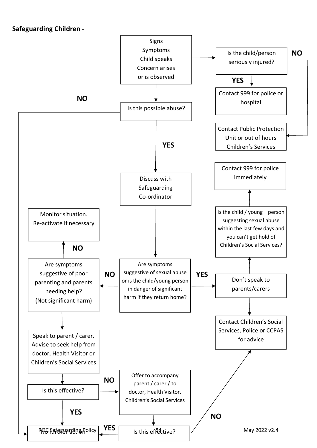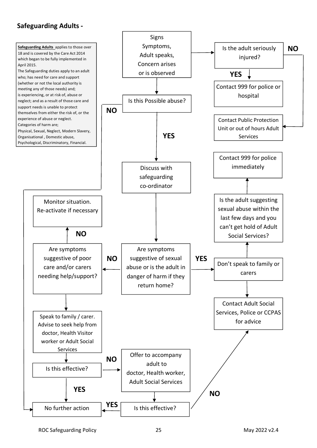## **Safeguarding Adults -**

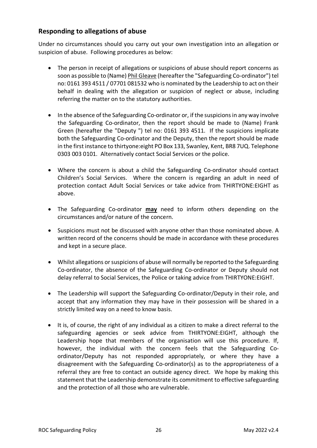## **Responding to allegations of abuse**

Under no circumstances should you carry out your own investigation into an allegation or suspicion of abuse. Following procedures as below:

- The person in receipt of allegations or suspicions of abuse should report concerns as soon as possible to (Name) Phil Gleave (hereafter the "Safeguarding Co-ordinator") tel no: 0161 393 4511 / 07701 081532 who is nominated by the Leadership to act on their behalf in dealing with the allegation or suspicion of neglect or abuse, including referring the matter on to the statutory authorities.
- In the absence of the Safeguarding Co-ordinator or, if the suspicions in any way involve the Safeguarding Co-ordinator, then the report should be made to (Name) Frank Green (hereafter the "Deputy ") tel no: 0161 393 4511. If the suspicions implicate both the Safeguarding Co-ordinator and the Deputy, then the report should be made in the first instance to thirtyone:eight PO Box 133, Swanley, Kent, BR8 7UQ. Telephone 0303 003 0101. Alternatively contact Social Services or the police.
- Where the concern is about a child the Safeguarding Co-ordinator should contact Children's Social Services. Where the concern is regarding an adult in need of protection contact Adult Social Services or take advice from THIRTYONE:EIGHT as above.
- The Safeguarding Co-ordinator **may** need to inform others depending on the circumstances and/or nature of the concern.
- Suspicions must not be discussed with anyone other than those nominated above. A written record of the concerns should be made in accordance with these procedures and kept in a secure place.
- Whilst allegations or suspicions of abuse will normally be reported to the Safeguarding Co-ordinator, the absence of the Safeguarding Co-ordinator or Deputy should not delay referral to Social Services, the Police or taking advice from THIRTYONE:EIGHT.
- The Leadership will support the Safeguarding Co-ordinator/Deputy in their role, and accept that any information they may have in their possession will be shared in a strictly limited way on a need to know basis.
- It is, of course, the right of any individual as a citizen to make a direct referral to the safeguarding agencies or seek advice from THIRTYONE:EIGHT, although the Leadership hope that members of the organisation will use this procedure. If, however, the individual with the concern feels that the Safeguarding Coordinator/Deputy has not responded appropriately, or where they have a disagreement with the Safeguarding Co-ordinator(s) as to the appropriateness of a referral they are free to contact an outside agency direct. We hope by making this statement that the Leadership demonstrate its commitment to effective safeguarding and the protection of all those who are vulnerable.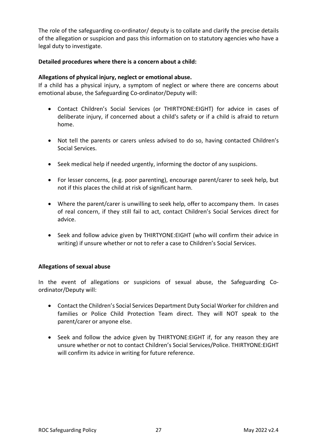The role of the safeguarding co-ordinator/ deputy is to collate and clarify the precise details of the allegation or suspicion and pass this information on to statutory agencies who have a legal duty to investigate.

## **Detailed procedures where there is a concern about a child:**

### **Allegations of physical injury, neglect or emotional abuse.**

If a child has a physical injury, a symptom of neglect or where there are concerns about emotional abuse, the Safeguarding Co-ordinator/Deputy will:

- Contact Children's Social Services (or THIRTYONE:EIGHT) for advice in cases of deliberate injury, if concerned about a child's safety or if a child is afraid to return home.
- Not tell the parents or carers unless advised to do so, having contacted Children's Social Services.
- Seek medical help if needed urgently, informing the doctor of any suspicions.
- For lesser concerns, (e.g. poor parenting), encourage parent/carer to seek help, but not if this places the child at risk of significant harm.
- Where the parent/carer is unwilling to seek help, offer to accompany them. In cases of real concern, if they still fail to act, contact Children's Social Services direct for advice.
- Seek and follow advice given by THIRTYONE:EIGHT (who will confirm their advice in writing) if unsure whether or not to refer a case to Children's Social Services.

#### **Allegations of sexual abuse**

In the event of allegations or suspicions of sexual abuse, the Safeguarding Coordinator/Deputy will:

- Contact the Children's Social Services Department Duty Social Worker for children and families or Police Child Protection Team direct. They will NOT speak to the parent/carer or anyone else.
- Seek and follow the advice given by THIRTYONE:EIGHT if, for any reason they are unsure whether or not to contact Children's Social Services/Police. THIRTYONE:EIGHT will confirm its advice in writing for future reference.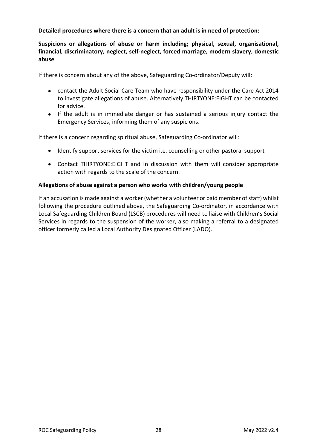**Detailed procedures where there is a concern that an adult is in need of protection:**

**Suspicions or allegations of abuse or harm including; physical, sexual, organisational, financial, discriminatory, neglect, self-neglect, forced marriage, modern slavery, domestic abuse** 

If there is concern about any of the above, Safeguarding Co-ordinator/Deputy will:

- contact the Adult Social Care Team who have responsibility under the Care Act 2014 to investigate allegations of abuse. Alternatively THIRTYONE:EIGHT can be contacted for advice.
- If the adult is in immediate danger or has sustained a serious injury contact the Emergency Services, informing them of any suspicions.

If there is a concern regarding spiritual abuse, Safeguarding Co-ordinator will:

- Identify support services for the victim i.e. counselling or other pastoral support
- Contact THIRTYONE:EIGHT and in discussion with them will consider appropriate action with regards to the scale of the concern.

### **Allegations of abuse against a person who works with children/young people**

If an accusation is made against a worker (whether a volunteer or paid member of staff) whilst following the procedure outlined above, the Safeguarding Co-ordinator, in accordance with Local Safeguarding Children Board (LSCB) procedures will need to liaise with Children's Social Services in regards to the suspension of the worker, also making a referral to a designated officer formerly called a Local Authority Designated Officer (LADO).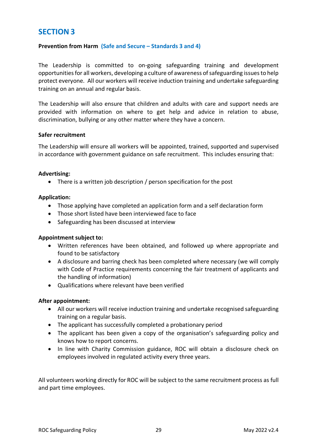## **SECTION 3**

### **Prevention from Harm (Safe and Secure – Standards 3 and 4)**

The Leadership is committed to on-going safeguarding training and development opportunities for all workers, developing a culture of awareness of safeguarding issues to help protect everyone. All our workers will receive induction training and undertake safeguarding training on an annual and regular basis.

The Leadership will also ensure that children and adults with care and support needs are provided with information on where to get help and advice in relation to abuse, discrimination, bullying or any other matter where they have a concern.

#### **Safer recruitment**

The Leadership will ensure all workers will be appointed, trained, supported and supervised in accordance with government guidance on safe recruitment. This includes ensuring that:

#### **Advertising:**

• There is a written job description / person specification for the post

#### **Application:**

- Those applying have completed an application form and a self declaration form
- Those short listed have been interviewed face to face
- Safeguarding has been discussed at interview

#### **Appointment subject to:**

- Written references have been obtained, and followed up where appropriate and found to be satisfactory
- A disclosure and barring check has been completed where necessary (we will comply with Code of Practice requirements concerning the fair treatment of applicants and the handling of information)
- Qualifications where relevant have been verified

#### **After appointment:**

- All our workers will receive induction training and undertake recognised safeguarding training on a regular basis.
- The applicant has successfully completed a probationary period
- The applicant has been given a copy of the organisation's safeguarding policy and knows how to report concerns.
- In line with Charity Commission guidance, ROC will obtain a disclosure check on employees involved in regulated activity every three years.

All volunteers working directly for ROC will be subject to the same recruitment process as full and part time employees.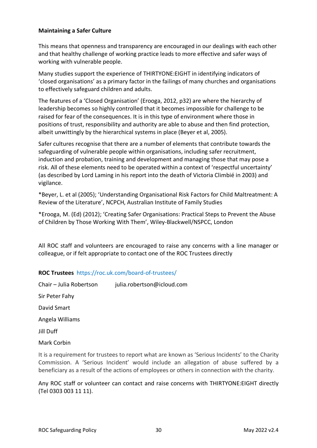### **Maintaining a Safer Culture**

This means that openness and transparency are encouraged in our dealings with each other and that healthy challenge of working practice leads to more effective and safer ways of working with vulnerable people.

Many studies support the experience of THIRTYONE:EIGHT in identifying indicators of 'closed organisations' as a primary factor in the failings of many churches and organisations to effectively safeguard children and adults.

The features of a 'Closed Organisation' (Erooga, 2012, p32) are where the hierarchy of leadership becomes so highly controlled that it becomes impossible for challenge to be raised for fear of the consequences. It is in this type of environment where those in positions of trust, responsibility and authority are able to abuse and then find protection, albeit unwittingly by the hierarchical systems in place (Beyer et al, 2005).

Safer cultures recognise that there are a number of elements that contribute towards the safeguarding of vulnerable people within organisations, including safer recruitment, induction and probation, training and development and managing those that may pose a risk. All of these elements need to be operated within a context of 'respectful uncertainty' (as described by Lord Laming in his report into the death of Victoria Climbié in 2003) and vigilance.

\*Beyer, L. et al (2005); 'Understanding Organisational Risk Factors for Child Maltreatment: A Review of the Literature', NCPCH, Australian Institute of Family Studies

\*Erooga, M. (Ed) (2012); 'Creating Safer Organisations: Practical Steps to Prevent the Abuse of Children by Those Working With Them', Wiley-Blackwell/NSPCC, London

All ROC staff and volunteers are encouraged to raise any concerns with a line manager or colleague, or if felt appropriate to contact one of the ROC Trustees directly

## **ROC Trustees** https://roc.uk.com/board-of-trustees/

| Chair - Julia Robertson | julia.robertson@icloud.com |
|-------------------------|----------------------------|
| Sir Peter Fahy          |                            |
| David Smart             |                            |
| Angela Williams         |                            |
| Jill Duff               |                            |
| Mark Corbin             |                            |
|                         |                            |

It is a requirement for trustees to report what are known as 'Serious Incidents' to the Charity Commission. A 'Serious Incident' would include an allegation of abuse suffered by a beneficiary as a result of the actions of employees or others in connection with the charity.

Any ROC staff or volunteer can contact and raise concerns with THIRTYONE:EIGHT directly (Tel 0303 003 11 11).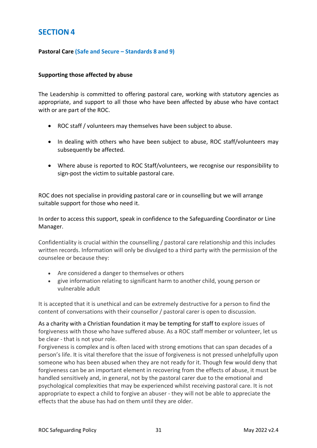## **SECTION 4**

## **Pastoral Care (Safe and Secure – Standards 8 and 9)**

### **Supporting those affected by abuse**

The Leadership is committed to offering pastoral care, working with statutory agencies as appropriate, and support to all those who have been affected by abuse who have contact with or are part of the ROC.

- ROC staff / volunteers may themselves have been subject to abuse.
- In dealing with others who have been subject to abuse, ROC staff/volunteers may subsequently be affected.
- Where abuse is reported to ROC Staff/volunteers, we recognise our responsibility to sign-post the victim to suitable pastoral care.

ROC does not specialise in providing pastoral care or in counselling but we will arrange suitable support for those who need it.

In order to access this support, speak in confidence to the Safeguarding Coordinator or Line Manager.

Confidentiality is crucial within the counselling / pastoral care relationship and this includes written records. Information will only be divulged to a third party with the permission of the counselee or because they:

- Are considered a danger to themselves or others
- give information relating to significant harm to another child, young person or vulnerable adult

It is accepted that it is unethical and can be extremely destructive for a person to find the content of conversations with their counsellor / pastoral carer is open to discussion.

As a charity with a Christian foundation it may be tempting for staff to explore issues of forgiveness with those who have suffered abuse. As a ROC staff member or volunteer, let us be clear - that is not your role.

Forgiveness is complex and is often laced with strong emotions that can span decades of a person's life. It is vital therefore that the issue of forgiveness is not pressed unhelpfully upon someone who has been abused when they are not ready for it. Though few would deny that forgiveness can be an important element in recovering from the effects of abuse, it must be handled sensitively and, in general, not by the pastoral carer due to the emotional and psychological complexities that may be experienced whilst receiving pastoral care. It is not appropriate to expect a child to forgive an abuser - they will not be able to appreciate the effects that the abuse has had on them until they are older.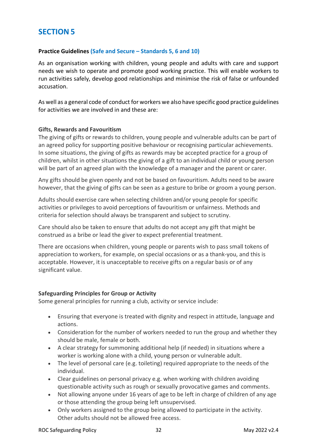## **SECTION 5**

## **Practice Guidelines (Safe and Secure – Standards 5, 6 and 10)**

As an organisation working with children, young people and adults with care and support needs we wish to operate and promote good working practice. This will enable workers to run activities safely, develop good relationships and minimise the risk of false or unfounded accusation.

As well as a general code of conduct for workers we also have specific good practice guidelines for activities we are involved in and these are:

#### **Gifts, Rewards and Favouritism**

The giving of gifts or rewards to children, young people and vulnerable adults can be part of an agreed policy for supporting positive behaviour or recognising particular achievements. In some situations, the giving of gifts as rewards may be accepted practice for a group of children, whilst in other situations the giving of a gift to an individual child or young person will be part of an agreed plan with the knowledge of a manager and the parent or carer.

Any gifts should be given openly and not be based on favouritism. Adults need to be aware however, that the giving of gifts can be seen as a gesture to bribe or groom a young person.

Adults should exercise care when selecting children and/or young people for specific activities or privileges to avoid perceptions of favouritism or unfairness. Methods and criteria for selection should always be transparent and subject to scrutiny.

Care should also be taken to ensure that adults do not accept any gift that might be construed as a bribe or lead the giver to expect preferential treatment.

There are occasions when children, young people or parents wish to pass small tokens of appreciation to workers, for example, on special occasions or as a thank-you, and this is acceptable. However, it is unacceptable to receive gifts on a regular basis or of any significant value.

#### **Safeguarding Principles for Group or Activity**

Some general principles for running a club, activity or service include:

- Ensuring that everyone is treated with dignity and respect in attitude, language and actions.
- Consideration for the number of workers needed to run the group and whether they should be male, female or both.
- A clear strategy for summoning additional help (if needed) in situations where a worker is working alone with a child, young person or vulnerable adult.
- The level of personal care (e.g. toileting) required appropriate to the needs of the individual.
- Clear guidelines on personal privacy e.g. when working with children avoiding questionable activity such as rough or sexually provocative games and comments.
- Not allowing anyone under 16 years of age to be left in charge of children of any age or those attending the group being left unsupervised.
- Only workers assigned to the group being allowed to participate in the activity. Other adults should not be allowed free access.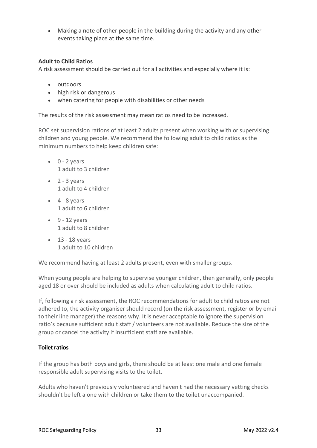• Making a note of other people in the building during the activity and any other events taking place at the same time.

## **Adult to Child Ratios**

A risk assessment should be carried out for all activities and especially where it is:

- outdoors
- high risk or dangerous
- when catering for people with disabilities or other needs

The results of the risk assessment may mean ratios need to be increased.

ROC set supervision rations of at least 2 adults present when working with or supervising children and young people. We recommend the following adult to child ratios as the minimum numbers to help keep children safe:

- $\bullet$  0 2 years 1 adult to 3 children
- $\bullet$  2 3 years 1 adult to 4 children
- $\bullet$  4 8 years 1 adult to 6 children
- $\bullet$  9 12 years 1 adult to 8 children
- $\bullet$  13 18 years 1 adult to 10 children

We recommend having at least 2 adults present, even with smaller groups.

When young people are helping to supervise younger children, then generally, only people aged 18 or over should be included as adults when calculating adult to child ratios.

If, following a risk assessment, the ROC recommendations for adult to child ratios are not adhered to, the activity organiser should record (on the risk assessment, register or by email to their line manager) the reasons why. It is never acceptable to ignore the supervision ratio's because sufficient adult staff / volunteers are not available. Reduce the size of the group or cancel the activity if insufficient staff are available.

## **Toilet ratios**

If the group has both boys and girls, there should be at least one male and one female responsible adult supervising visits to the toilet.

Adults who haven't previously volunteered and haven't had the necessary vetting checks shouldn't be left alone with children or take them to the toilet unaccompanied.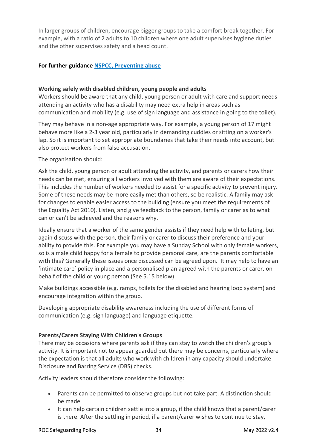In larger groups of children, encourage bigger groups to take a comfort break together. For example, with a ratio of 2 adults to 10 children where one adult supervises hygiene duties and the other supervises safety and a head count.

## **For further guidance NSPCC, Preventing abuse**

### **Working safely with disabled children, young people and adults**

Workers should be aware that any child, young person or adult with care and support needs attending an activity who has a disability may need extra help in areas such as communication and mobility (e.g. use of sign language and assistance in going to the toilet).

They may behave in a non-age appropriate way. For example, a young person of 17 might behave more like a 2-3 year old, particularly in demanding cuddles or sitting on a worker's lap. So it is important to set appropriate boundaries that take their needs into account, but also protect workers from false accusation.

The organisation should:

Ask the child, young person or adult attending the activity, and parents or carers how their needs can be met, ensuring all workers involved with them are aware of their expectations. This includes the number of workers needed to assist for a specific activity to prevent injury. Some of these needs may be more easily met than others, so be realistic. A family may ask for changes to enable easier access to the building (ensure you meet the requirements of the Equality Act 2010). Listen, and give feedback to the person, family or carer as to what can or can't be achieved and the reasons why.

Ideally ensure that a worker of the same gender assists if they need help with toileting, but again discuss with the person, their family or carer to discuss their preference and your ability to provide this. For example you may have a Sunday School with only female workers, so is a male child happy for a female to provide personal care, are the parents comfortable with this? Generally these issues once discussed can be agreed upon. It may help to have an 'intimate care' policy in place and a personalised plan agreed with the parents or carer, on behalf of the child or young person (See 5.15 below)

Make buildings accessible (e.g. ramps, toilets for the disabled and hearing loop system) and encourage integration within the group.

Developing appropriate disability awareness including the use of different forms of communication (e.g. sign language) and language etiquette.

## **Parents/Carers Staying With Children's Groups**

There may be occasions where parents ask if they can stay to watch the children's group's activity. It is important not to appear guarded but there may be concerns, particularly where the expectation is that all adults who work with children in any capacity should undertake Disclosure and Barring Service (DBS) checks.

Activity leaders should therefore consider the following:

- Parents can be permitted to observe groups but not take part. A distinction should be made.
- It can help certain children settle into a group, if the child knows that a parent/carer is there. After the settling in period, if a parent/carer wishes to continue to stay,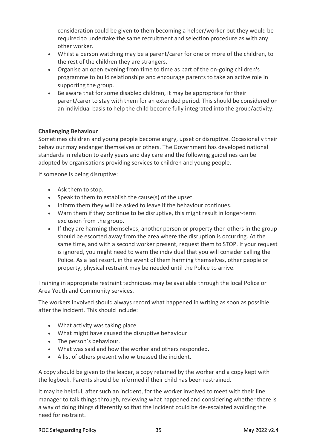consideration could be given to them becoming a helper/worker but they would be required to undertake the same recruitment and selection procedure as with any other worker.

- Whilst a person watching may be a parent/carer for one or more of the children, to the rest of the children they are strangers.
- Organise an open evening from time to time as part of the on-going children's programme to build relationships and encourage parents to take an active role in supporting the group.
- Be aware that for some disabled children, it may be appropriate for their parent/carer to stay with them for an extended period. This should be considered on an individual basis to help the child become fully integrated into the group/activity.

### **Challenging Behaviour**

Sometimes children and young people become angry, upset or disruptive. Occasionally their behaviour may endanger themselves or others. The Government has developed national standards in relation to early years and day care and the following guidelines can be adopted by organisations providing services to children and young people.

If someone is being disruptive:

- Ask them to stop.
- Speak to them to establish the cause(s) of the upset.
- Inform them they will be asked to leave if the behaviour continues.
- Warn them if they continue to be disruptive, this might result in longer-term exclusion from the group.
- If they are harming themselves, another person or property then others in the group should be escorted away from the area where the disruption is occurring. At the same time, and with a second worker present, request them to STOP. If your request is ignored, you might need to warn the individual that you will consider calling the Police. As a last resort, in the event of them harming themselves, other people or property, physical restraint may be needed until the Police to arrive.

Training in appropriate restraint techniques may be available through the local Police or Area Youth and Community services.

The workers involved should always record what happened in writing as soon as possible after the incident. This should include:

- What activity was taking place
- What might have caused the disruptive behaviour
- The person's behaviour.
- What was said and how the worker and others responded.
- A list of others present who witnessed the incident.

A copy should be given to the leader, a copy retained by the worker and a copy kept with the logbook. Parents should be informed if their child has been restrained.

It may be helpful, after such an incident, for the worker involved to meet with their line manager to talk things through, reviewing what happened and considering whether there is a way of doing things differently so that the incident could be de-escalated avoiding the need for restraint.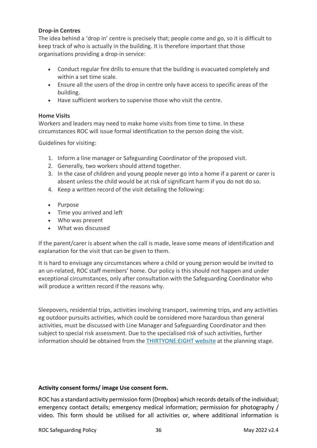### **Drop-in Centres**

The idea behind a 'drop in' centre is precisely that; people come and go, so it is difficult to keep track of who is actually in the building. It is therefore important that those organisations providing a drop-in service:

- Conduct regular fire drills to ensure that the building is evacuated completely and within a set time scale.
- Ensure all the users of the drop in centre only have access to specific areas of the building.
- Have sufficient workers to supervise those who visit the centre.

### **Home Visits**

Workers and leaders may need to make home visits from time to time. In these circumstances ROC will issue formal identification to the person doing the visit.

Guidelines for visiting:

- 1. Inform a line manager or Safeguarding Coordinator of the proposed visit.
- 2. Generally, two workers should attend together.
- 3. In the case of children and young people never go into a home if a parent or carer is absent unless the child would be at risk of significant harm if you do not do so.
- 4. Keep a written record of the visit detailing the following:
- Purpose
- Time you arrived and left
- Who was present
- What was discussed

If the parent/carer is absent when the call is made, leave some means of identification and explanation for the visit that can be given to them.

It is hard to envisage any circumstances where a child or young person would be invited to an un-related, ROC staff members' home. Our policy is this should not happen and under exceptional circumstances, only after consultation with the Safeguarding Coordinator who will produce a written record if the reasons why.

Sleepovers, residential trips, activities involving transport, swimming trips, and any activities eg outdoor pursuits activities, which could be considered more hazardous than general activities, must be discussed with Line Manager and Safeguarding Coordinator and then subject to special risk assessment. Due to the specialised risk of such activities, further information should be obtained from the THIRTYONE:EIGHT website at the planning stage.

#### **Activity consent forms/ image Use consent form.**

ROC has a standard activity permission form (Dropbox) which records details of the individual; emergency contact details; emergency medical information; permission for photography / video. This form should be utilised for all activities or, where additional information is